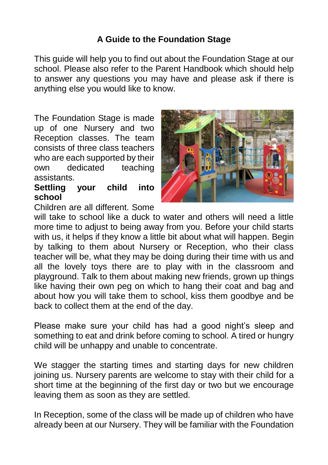# **A Guide to the Foundation Stage**

This guide will help you to find out about the Foundation Stage at our school. Please also refer to the Parent Handbook which should help to answer any questions you may have and please ask if there is anything else you would like to know.

The Foundation Stage is made up of one Nursery and two Reception classes. The team consists of three class teachers who are each supported by their own dedicated teaching assistants.

#### **Settling your child into school**

Children are all different. Some



will take to school like a duck to water and others will need a little more time to adjust to being away from you. Before your child starts with us, it helps if they know a little bit about what will happen. Begin by talking to them about Nursery or Reception, who their class teacher will be, what they may be doing during their time with us and all the lovely toys there are to play with in the classroom and playground. Talk to them about making new friends, grown up things like having their own peg on which to hang their coat and bag and about how you will take them to school, kiss them goodbye and be back to collect them at the end of the day.

Please make sure your child has had a good night's sleep and something to eat and drink before coming to school. A tired or hungry child will be unhappy and unable to concentrate.

We stagger the starting times and starting days for new children joining us. Nursery parents are welcome to stay with their child for a short time at the beginning of the first day or two but we encourage leaving them as soon as they are settled.

In Reception, some of the class will be made up of children who have already been at our Nursery. They will be familiar with the Foundation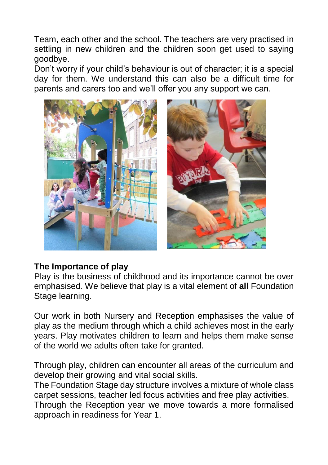Team, each other and the school. The teachers are very practised in settling in new children and the children soon get used to saying goodbye.

Don't worry if your child's behaviour is out of character; it is a special day for them. We understand this can also be a difficult time for parents and carers too and we'll offer you any support we can.



## **The Importance of play**

Play is the business of childhood and its importance cannot be over emphasised. We believe that play is a vital element of **all** Foundation Stage learning.

Our work in both Nursery and Reception emphasises the value of play as the medium through which a child achieves most in the early years. Play motivates children to learn and helps them make sense of the world we adults often take for granted.

Through play, children can encounter all areas of the curriculum and develop their growing and vital social skills.

The Foundation Stage day structure involves a mixture of whole class carpet sessions, teacher led focus activities and free play activities. Through the Reception year we move towards a more formalised approach in readiness for Year 1.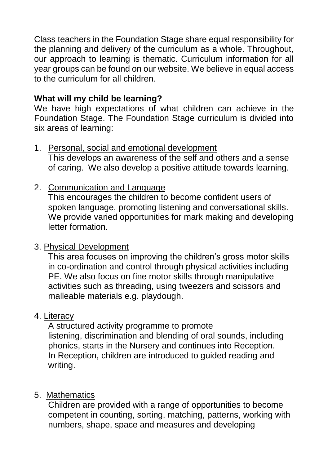Class teachers in the Foundation Stage share equal responsibility for the planning and delivery of the curriculum as a whole. Throughout, our approach to learning is thematic. Curriculum information for all vear groups can be found on our website. We believe in equal access to the curriculum for all children.

## **What will my child be learning?**

We have high expectations of what children can achieve in the Foundation Stage. The Foundation Stage curriculum is divided into six areas of learning:

### 1. Personal, social and emotional development

This develops an awareness of the self and others and a sense of caring. We also develop a positive attitude towards learning.

## 2. Communication and Language

This encourages the children to become confident users of spoken language, promoting listening and conversational skills. We provide varied opportunities for mark making and developing letter formation.

## 3. Physical Development

This area focuses on improving the children's gross motor skills in co-ordination and control through physical activities including PE. We also focus on fine motor skills through manipulative activities such as threading, using tweezers and scissors and malleable materials e.g. playdough.

## 4. Literacy

A structured activity programme to promote listening, discrimination and blending of oral sounds, including phonics, starts in the Nursery and continues into Reception. In Reception, children are introduced to guided reading and writing.

# 5. Mathematics

Children are provided with a range of opportunities to become competent in counting, sorting, matching, patterns, working with numbers, shape, space and measures and developing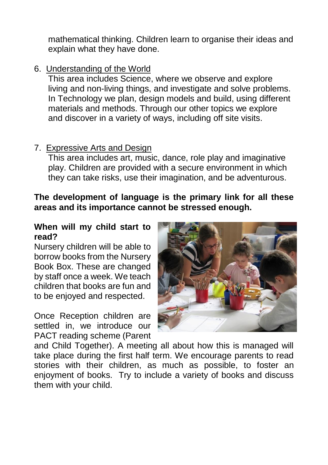mathematical thinking. Children learn to organise their ideas and explain what they have done.

## 6. Understanding of the World

This area includes Science, where we observe and explore living and non-living things, and investigate and solve problems. In Technology we plan, design models and build, using different materials and methods. Through our other topics we explore and discover in a variety of ways, including off site visits.

### 7. Expressive Arts and Design

This area includes art, music, dance, role play and imaginative play. Children are provided with a secure environment in which they can take risks, use their imagination, and be adventurous.

### **The development of language is the primary link for all these areas and its importance cannot be stressed enough.**

#### **When will my child start to read?**

Nursery children will be able to borrow books from the Nursery Book Box. These are changed by staff once a week. We teach children that books are fun and to be enjoyed and respected.

Once Reception children are settled in, we introduce our PACT reading scheme (Parent



and Child Together). A meeting all about how this is managed will take place during the first half term. We encourage parents to read stories with their children, as much as possible, to foster an enjoyment of books. Try to include a variety of books and discuss them with your child.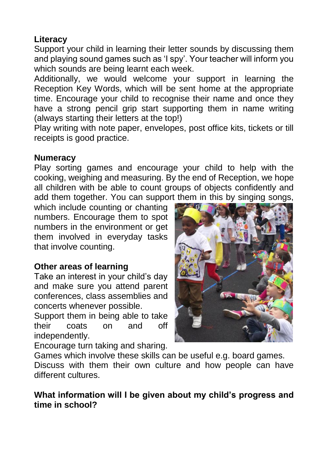# **Literacy**

Support your child in learning their letter sounds by discussing them and playing sound games such as 'I spy'. Your teacher will inform you which sounds are being learnt each week.

Additionally, we would welcome your support in learning the Reception Key Words, which will be sent home at the appropriate time. Encourage your child to recognise their name and once they have a strong pencil grip start supporting them in name writing (always starting their letters at the top!)

Play writing with note paper, envelopes, post office kits, tickets or till receipts is good practice.

#### **Numeracy**

Play sorting games and encourage your child to help with the cooking, weighing and measuring. By the end of Reception, we hope all children with be able to count groups of objects confidently and add them together. You can support them in this by singing songs,

which include counting or chanting numbers. Encourage them to spot numbers in the environment or get them involved in everyday tasks that involve counting.

## **Other areas of learning**

Take an interest in your child's day and make sure you attend parent conferences, class assemblies and concerts whenever possible.

Support them in being able to take their coats on and off independently.

Encourage turn taking and sharing.



Games which involve these skills can be useful e.g. board games.

Discuss with them their own culture and how people can have different cultures.

### **What information will I be given about my child's progress and time in school?**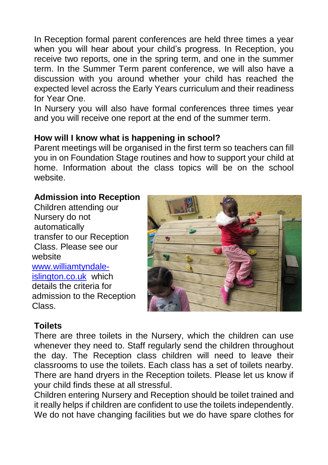In Reception formal parent conferences are held three times a year when you will hear about your child's progress. In Reception, you receive two reports, one in the spring term, and one in the summer term. In the Summer Term parent conference, we will also have a discussion with you around whether your child has reached the expected level across the Early Years curriculum and their readiness for Year One.

In Nursery you will also have formal conferences three times year and you will receive one report at the end of the summer term.

## **How will I know what is happening in school?**

Parent meetings will be organised in the first term so teachers can fill you in on Foundation Stage routines and how to support your child at home. Information about the class topics will be on the school website.

#### **Admission into Reception**

Children attending our Nursery do not automatically transfer to our Reception Class. Please see our website [www.williamtyndale](http://www.williamtyndale-islington.co.uk/)[islington.co.uk](http://www.williamtyndale-islington.co.uk/) which details the criteria for admission to the Reception Class.



## **Toilets**

There are three toilets in the Nursery, which the children can use whenever they need to. Staff regularly send the children throughout the day. The Reception class children will need to leave their classrooms to use the toilets. Each class has a set of toilets nearby. There are hand dryers in the Reception toilets. Please let us know if your child finds these at all stressful.

Children entering Nursery and Reception should be toilet trained and it really helps if children are confident to use the toilets independently. We do not have changing facilities but we do have spare clothes for